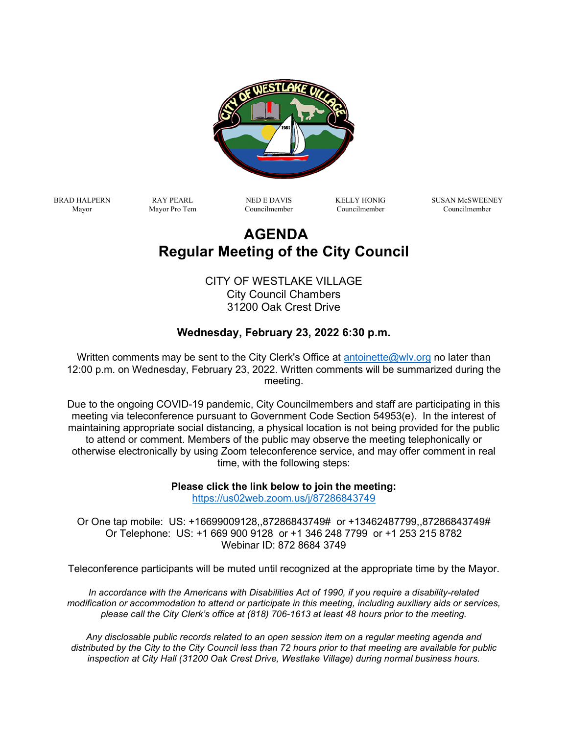

BRAD HALPERN Mayor

RAY PEARL Mayor Pro Tem

NED E DAVIS Councilmember KELLY HONIG Councilmember

SUSAN McSWEENEY Councilmember

# **AGENDA Regular Meeting of the City Council**

CITY OF WESTLAKE VILLAGE City Council Chambers 31200 Oak Crest Drive

## **Wednesday, February 23, 2022 6:30 p.m.**

Written comments may be sent to the City Clerk's Office at [antoinette@wlv.org](mailto:antoinette@wlv.org) no later than 12:00 p.m. on Wednesday, February 23, 2022. Written comments will be summarized during the meeting.

Due to the ongoing COVID-19 pandemic, City Councilmembers and staff are participating in this meeting via teleconference pursuant to Government Code Section 54953(e). In the interest of maintaining appropriate social distancing, a physical location is not being provided for the public to attend or comment. Members of the public may observe the meeting telephonically or otherwise electronically by using Zoom teleconference service, and may offer comment in real time, with the following steps:

> **Please click the link below to join the meeting:** <https://us02web.zoom.us/j/87286843749>

Or One tap mobile: US: +16699009128,,87286843749# or +13462487799,,87286843749# Or Telephone: US: +1 669 900 9128 or +1 346 248 7799 or +1 253 215 8782 Webinar ID: 872 8684 3749

Teleconference participants will be muted until recognized at the appropriate time by the Mayor.

*In accordance with the Americans with Disabilities Act of 1990, if you require a disability-related modification or accommodation to attend or participate in this meeting, including auxiliary aids or services, please call the City Clerk's office at (818) 706-1613 at least 48 hours prior to the meeting.*

*Any disclosable public records related to an open session item on a regular meeting agenda and distributed by the City to the City Council less than 72 hours prior to that meeting are available for public inspection at City Hall (31200 Oak Crest Drive, Westlake Village) during normal business hours.*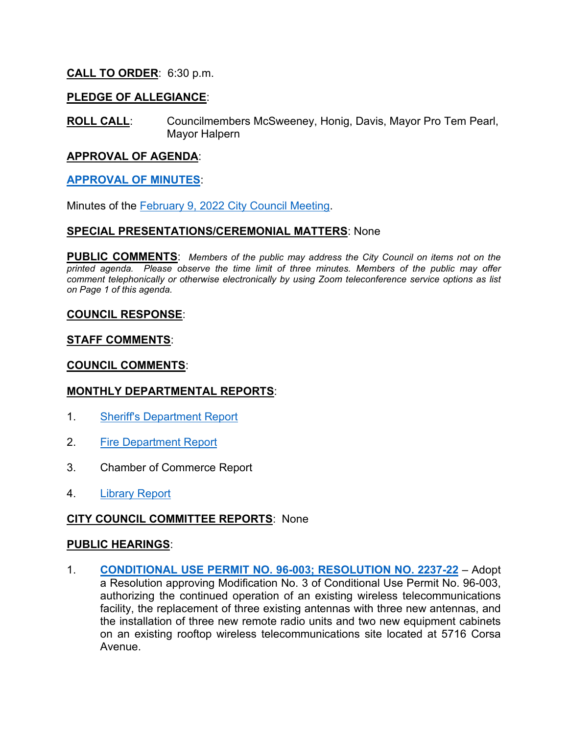## **CALL TO ORDER**: 6:30 p.m.

## **PLEDGE OF ALLEGIANCE**:

**ROLL CALL**: Councilmembers McSweeney, Honig, Davis, Mayor Pro Tem Pearl, Mayor Halpern

#### **APPROVAL OF AGENDA**:

#### **[APPROVAL OF MINUTES](https://www.wlv.org/DocumentCenter/View/2599/Minutes)**:

Minutes of the February 9, 2022 [City Council Meeting.](https://www.wlv.org/DocumentCenter/View/2599/Minutes)

#### **SPECIAL PRESENTATIONS/CEREMONIAL MATTERS**: None

**PUBLIC COMMENTS**: *Members of the public may address the City Council on items not on the printed agenda. Please observe the time limit of three minutes. Members of the public may offer comment telephonically or otherwise electronically by using Zoom teleconference service options as list on Page 1 of this agenda.*

#### **COUNCIL RESPONSE**:

## **STAFF COMMENTS**:

#### **COUNCIL COMMENTS**:

#### **MONTHLY DEPARTMENTAL REPORTS**:

- 1. [Sheriff's Department Report](https://www.wlv.org/DocumentCenter/View/2600/WLV---Sheriff-Report-Janaury-2022)
- 2. [Fire Department Report](https://www.wlv.org/DocumentCenter/View/2601/WLV---Fire-Report-January-2022)
- 3. Chamber of Commerce Report
- 4. [Library Report](https://www.wlv.org/DocumentCenter/View/2602/WLV-Library-Report-January-2022)

## **CITY COUNCIL COMMITTEE REPORTS**: None

#### **PUBLIC HEARINGS**:

1. **[CONDITIONAL USE PERMIT NO. 96-003; RESOLUTION NO. 2237-22](https://www.wlv.org/DocumentCenter/View/2603/PH-1)** – Adopt a Resolution approving Modification No. 3 of Conditional Use Permit No. 96-003, authorizing the continued operation of an existing wireless telecommunications facility, the replacement of three existing antennas with three new antennas, and the installation of three new remote radio units and two new equipment cabinets on an existing rooftop wireless telecommunications site located at 5716 Corsa Avenue.